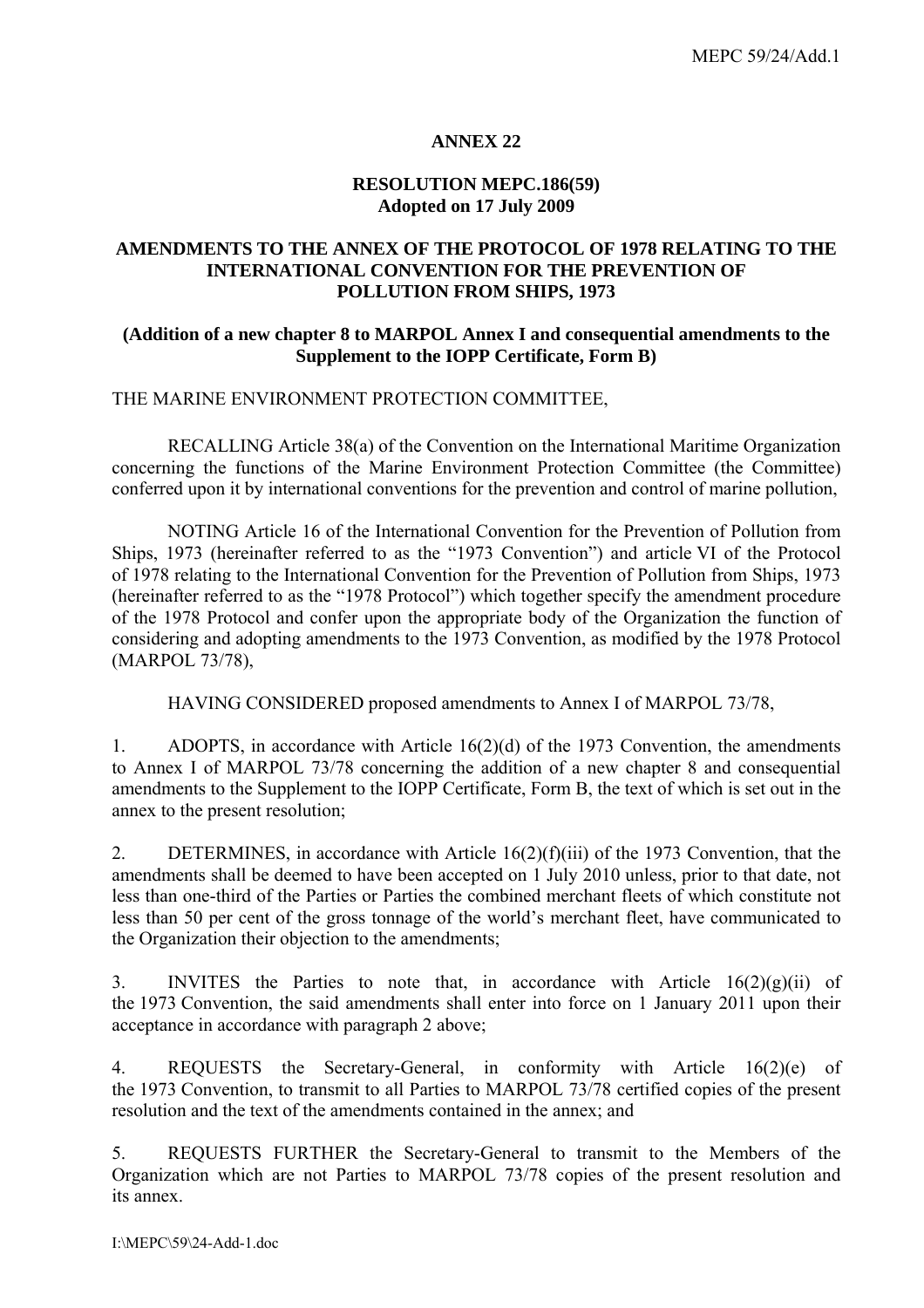### **ANNEX 22**

#### **RESOLUTION MEPC.186(59) Adopted on 17 July 2009**

### **AMENDMENTS TO THE ANNEX OF THE PROTOCOL OF 1978 RELATING TO THE INTERNATIONAL CONVENTION FOR THE PREVENTION OF POLLUTION FROM SHIPS, 1973**

### **(Addition of a new chapter 8 to MARPOL Annex I and consequential amendments to the Supplement to the IOPP Certificate, Form B)**

### THE MARINE ENVIRONMENT PROTECTION COMMITTEE,

 RECALLING Article 38(a) of the Convention on the International Maritime Organization concerning the functions of the Marine Environment Protection Committee (the Committee) conferred upon it by international conventions for the prevention and control of marine pollution,

 NOTING Article 16 of the International Convention for the Prevention of Pollution from Ships, 1973 (hereinafter referred to as the "1973 Convention") and article VI of the Protocol of 1978 relating to the International Convention for the Prevention of Pollution from Ships, 1973 (hereinafter referred to as the "1978 Protocol") which together specify the amendment procedure of the 1978 Protocol and confer upon the appropriate body of the Organization the function of considering and adopting amendments to the 1973 Convention, as modified by the 1978 Protocol (MARPOL 73/78),

HAVING CONSIDERED proposed amendments to Annex I of MARPOL 73/78,

1. ADOPTS, in accordance with Article 16(2)(d) of the 1973 Convention, the amendments to Annex I of MARPOL 73/78 concerning the addition of a new chapter 8 and consequential amendments to the Supplement to the IOPP Certificate, Form B, the text of which is set out in the annex to the present resolution;

2. DETERMINES, in accordance with Article 16(2)(f)(iii) of the 1973 Convention, that the amendments shall be deemed to have been accepted on 1 July 2010 unless, prior to that date, not less than one-third of the Parties or Parties the combined merchant fleets of which constitute not less than 50 per cent of the gross tonnage of the world's merchant fleet, have communicated to the Organization their objection to the amendments;

3. INVITES the Parties to note that, in accordance with Article  $16(2)(g)(ii)$  of the 1973 Convention, the said amendments shall enter into force on 1 January 2011 upon their acceptance in accordance with paragraph 2 above;

4. REQUESTS the Secretary-General, in conformity with Article 16(2)(e) of the 1973 Convention, to transmit to all Parties to MARPOL 73/78 certified copies of the present resolution and the text of the amendments contained in the annex; and

5. REQUESTS FURTHER the Secretary-General to transmit to the Members of the Organization which are not Parties to MARPOL 73/78 copies of the present resolution and its annex.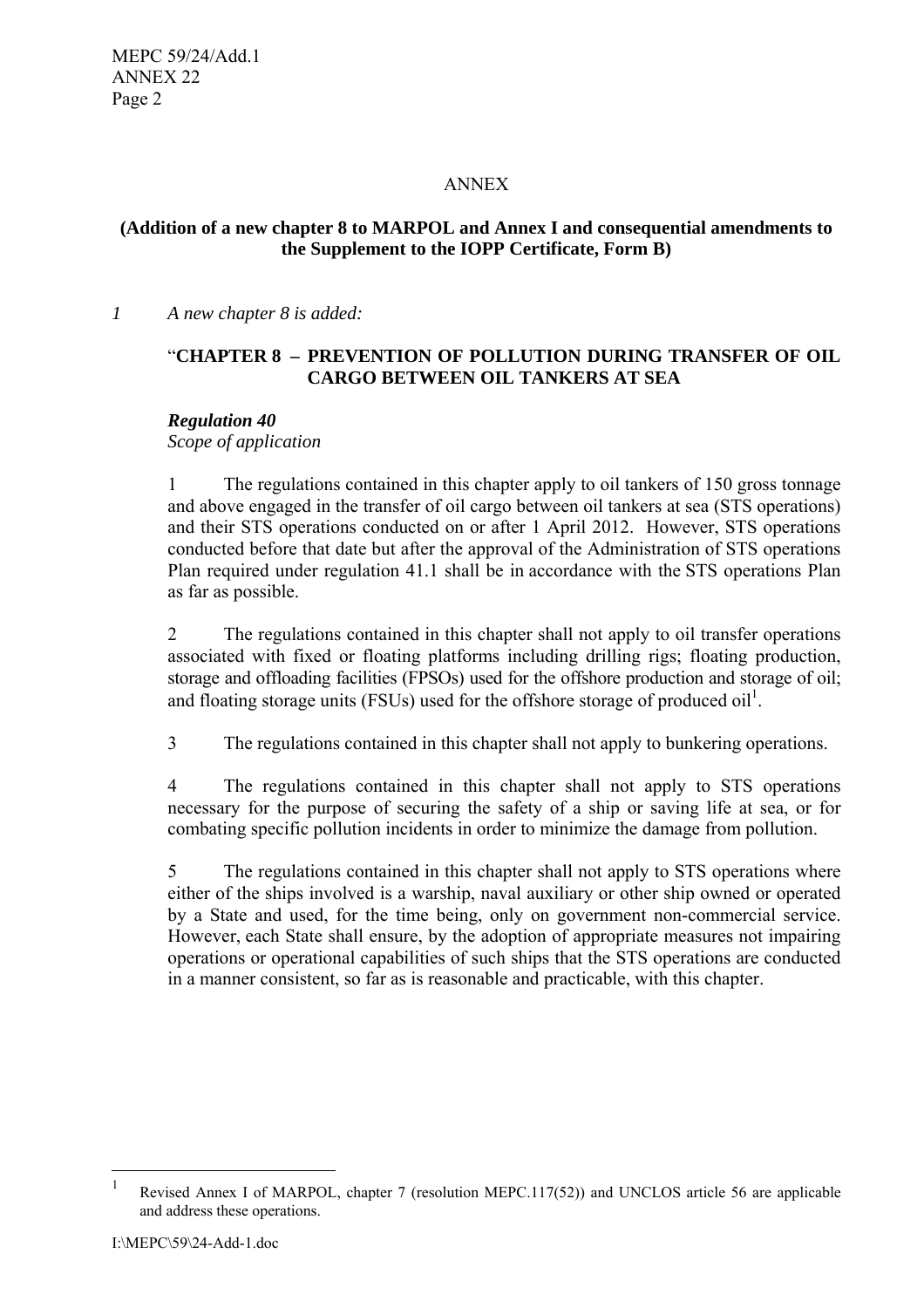## ANNEX

## **(Addition of a new chapter 8 to MARPOL and Annex I and consequential amendments to the Supplement to the IOPP Certificate, Form B)**

*1 A new chapter 8 is added:* 

# "**CHAPTER 8 – PREVENTION OF POLLUTION DURING TRANSFER OF OIL CARGO BETWEEN OIL TANKERS AT SEA**

## *Regulation 40*

*Scope of application* 

1 The regulations contained in this chapter apply to oil tankers of 150 gross tonnage and above engaged in the transfer of oil cargo between oil tankers at sea (STS operations) and their STS operations conducted on or after 1 April 2012. However, STS operations conducted before that date but after the approval of the Administration of STS operations Plan required under regulation 41.1 shall be in accordance with the STS operations Plan as far as possible.

2 The regulations contained in this chapter shall not apply to oil transfer operations associated with fixed or floating platforms including drilling rigs; floating production, storage and offloading facilities (FPSOs) used for the offshore production and storage of oil; and floating storage units (FSUs) used for the offshore storage of produced  $\text{oil}^1$ .

3 The regulations contained in this chapter shall not apply to bunkering operations.

4 The regulations contained in this chapter shall not apply to STS operations necessary for the purpose of securing the safety of a ship or saving life at sea, or for combating specific pollution incidents in order to minimize the damage from pollution.

5 The regulations contained in this chapter shall not apply to STS operations where either of the ships involved is a warship, naval auxiliary or other ship owned or operated by a State and used, for the time being, only on government non-commercial service. However, each State shall ensure, by the adoption of appropriate measures not impairing operations or operational capabilities of such ships that the STS operations are conducted in a manner consistent, so far as is reasonable and practicable, with this chapter.

 $\overline{a}$ 

<sup>&</sup>lt;sup>1</sup> Revised Annex I of MARPOL, chapter 7 (resolution MEPC.117(52)) and UNCLOS article 56 are applicable and address these operations.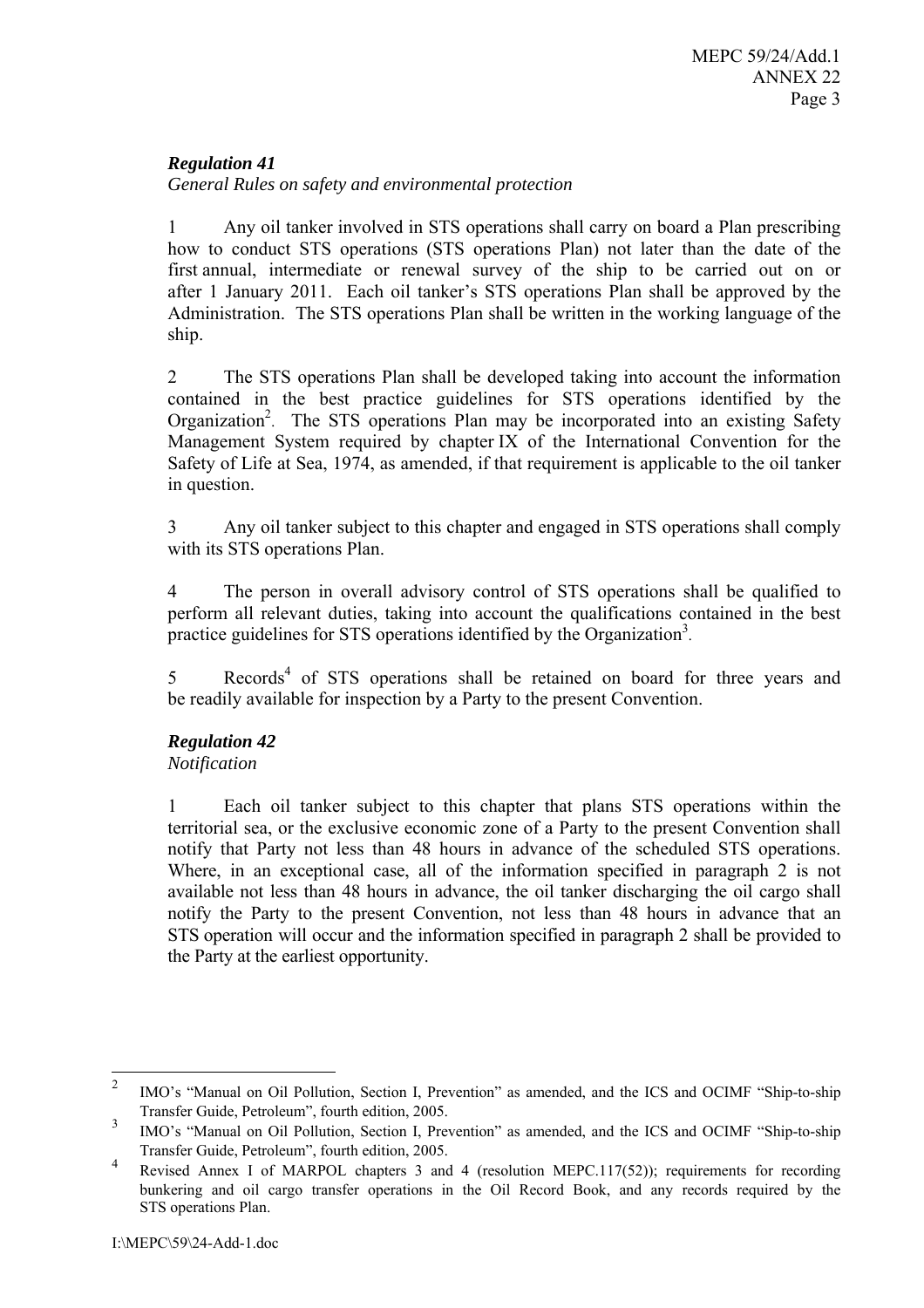## *Regulation 41*

*General Rules on safety and environmental protection* 

1 Any oil tanker involved in STS operations shall carry on board a Plan prescribing how to conduct STS operations (STS operations Plan) not later than the date of the first annual, intermediate or renewal survey of the ship to be carried out on or after 1 January 2011. Each oil tanker's STS operations Plan shall be approved by the Administration. The STS operations Plan shall be written in the working language of the ship.

2 The STS operations Plan shall be developed taking into account the information contained in the best practice guidelines for STS operations identified by the Organization<sup>2</sup>. The STS operations Plan may be incorporated into an existing Safety Management System required by chapter IX of the International Convention for the Safety of Life at Sea, 1974, as amended, if that requirement is applicable to the oil tanker in question.

3 Any oil tanker subject to this chapter and engaged in STS operations shall comply with its STS operations Plan.

4 The person in overall advisory control of STS operations shall be qualified to perform all relevant duties, taking into account the qualifications contained in the best practice guidelines for STS operations identified by the Organization<sup>3</sup>.

5 Records<sup>4</sup> of STS operations shall be retained on board for three years and be readily available for inspection by a Party to the present Convention.

## *Regulation 42*

## *Notification*

1 Each oil tanker subject to this chapter that plans STS operations within the territorial sea, or the exclusive economic zone of a Party to the present Convention shall notify that Party not less than 48 hours in advance of the scheduled STS operations. Where, in an exceptional case, all of the information specified in paragraph 2 is not available not less than 48 hours in advance, the oil tanker discharging the oil cargo shall notify the Party to the present Convention, not less than 48 hours in advance that an STS operation will occur and the information specified in paragraph 2 shall be provided to the Party at the earliest opportunity.

 $\frac{1}{2}$  IMO's "Manual on Oil Pollution, Section I, Prevention" as amended, and the ICS and OCIMF "Ship-to-ship Transfer Guide, Petroleum", fourth edition, 2005.

<sup>3</sup> IMO's "Manual on Oil Pollution, Section I, Prevention" as amended, and the ICS and OCIMF "Ship-to-ship Transfer Guide, Petroleum", fourth edition, 2005.

<sup>4</sup> Revised Annex I of MARPOL chapters 3 and 4 (resolution MEPC.117(52)); requirements for recording bunkering and oil cargo transfer operations in the Oil Record Book, and any records required by the STS operations Plan.